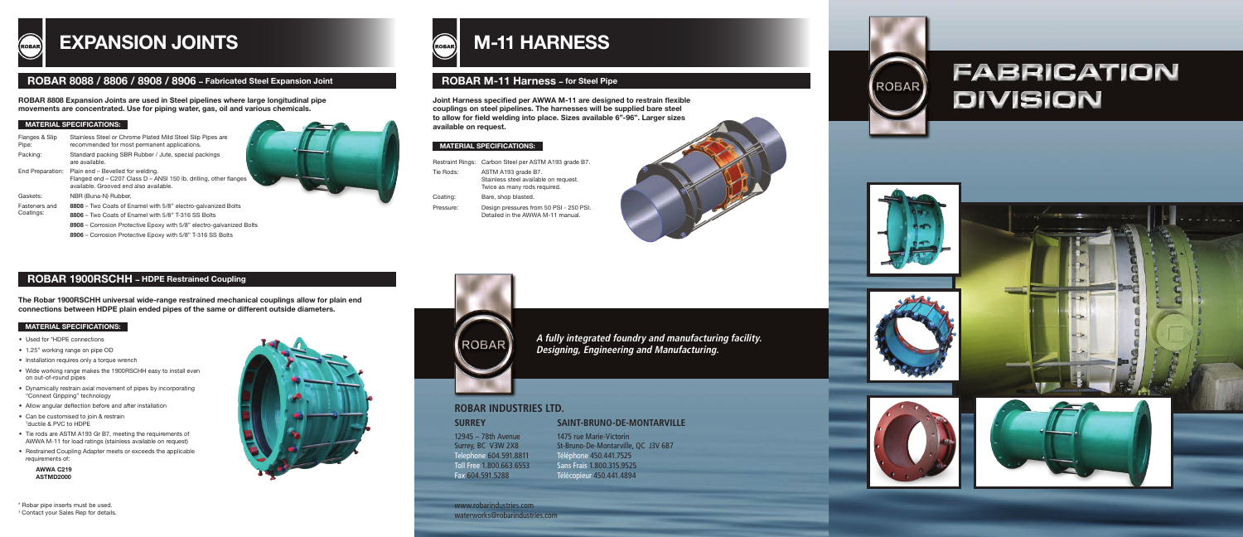www.robarindustries.com waterworks@robarindustries.com



# **ROBAR INDUSTRIES LTD.**

**A fully integrated foundry and manufacturing facility. Designing, Engineering and Manufacturing.**



### MATERIAL SPECIFICATIONS:

# M-11 HARNESS **ROBAR**

|           | Restraint Rings: Carbon Steel per ASTM A193 grade B7.                                        |
|-----------|----------------------------------------------------------------------------------------------|
| Tie Rods: | ASTM A193 grade B7.<br>Stainless steel available on request.<br>Twice as many rods required. |
| Coating:  | Bare, shop blasted.                                                                          |
| Pressure: | Design pressures from 50 PSI - 250 PSI.<br>Detailed in the AWWA M-11 manual.                 |

# ROBAR M-11 Harness – for Steel Pipe



# EXPANSION JOINTS

# ROBAR 8088 / 8806 / 8908 / 8906 – Fabricated Steel Expansion Joint

ROBAR 8808 Expansion Joints are used in Steel pipelines where large longitudinal pipe movements are concentrated. Use for piping water, gas, oil and various chemicals.

### **MATERIAL SPECIFICATIONS:**

## **SURREY**

12945 – 78th Avenue Surrey, BC V3W 2X8 Telephone 604.591.8811 Toll Free 1.800.663.6553 Fax 604.591.5288

### **SAINT-BRUNO-DE-MONTARVILLE**







1475 rue Marie-Victorin St-Bruno-De-Montarville, QC J3V 6B7 Téléphone 450.441.7525 Sans Frais 1.800.315.9525 Télécopieur 450.441.4894

Joint Harness specified per AWWA M-11 are designed to restrain flexible couplings on steel pipelines. The harnesses will be supplied bare steel to allow for field welding into place. Sizes available 6"-96". Larger sizes available on request.

| Flanges & Slip<br>Pipe: | Stainless Steel or Chrome Plated Mild Steel Slip Pipes are<br>recommended for most permanent applications.                                       |
|-------------------------|--------------------------------------------------------------------------------------------------------------------------------------------------|
| Packing:                | Standard packing SBR Rubber / Jute, special packings<br>are available.                                                                           |
| End Preparation:        | Plain end – Bevelled for welding.<br>Flanged end - C207 Class D - ANSI 150 lb. drilling, other flanges<br>available. Grooved end also available. |
| Gaskets:                | NBR (Buna-N) Rubber.                                                                                                                             |
| Fasteners and           | 8808 – Two Coats of Enamel with 5/8" electro-galvanized Bolts                                                                                    |
| Coatings:               | 8806 – Two Coats of Enamel with 5/8" T-316 SS Bolts                                                                                              |
|                         | 8908 - Corrosion Protective Epoxy with 5/8" electro-galvanized Bolts<br>8906 - Corrosion Protective Epoxy with 5/8" T-316 SS Bolts               |
|                         |                                                                                                                                                  |

## ROBAR 1900RSCHH – HDPE Restrained Coupling

### MATERIAL SPECIFICATIONS:

The Robar 1900RSCHH universal wide-range restrained mechanical couplings allow for plain end connections between HDPE plain ended pipes of the same or different outside diameters.

\* Robar pipe inserts must be used.

† Contact your Sales Rep for details.



**Contract on the Contract of the Contract of the Contract of the Contract of the Contract of the Contract of the Contract of the Contract of the Contract of the Contract of the Contract of The Contract of The Contract of T** 



- Used for \*HDPE connections
- 1.25" working range on pipe OD
- Installation requires only a torque wrench
- Wide working range makes the 1900RSCHH easy to install even on out-of-round pipes
- Dynamically restrain axial movement of pipes by incorporating "Connext Gripping" technology
- Allow angular deflection before and after installation
- Can be customised to join & restrain † ductile & PVC to HDPE
- Tie rods are ASTM A193 Gr B7, meeting the requirements of AWWA M-11 for load ratings (stainless available on request)
- Restrained Coupling Adapter meets or exceeds the applicable requirements of:

 AWWA C219 ASTMD2000

# **FABRICATION DIVISION**